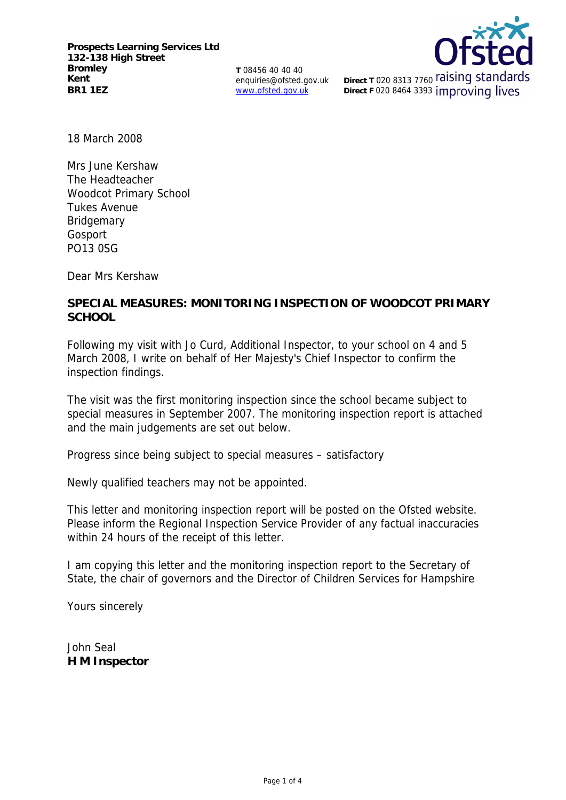**Prospects Learning Services Ltd 132-138 High Street Bromley Kent BR1 1EZ**

**T** 08456 40 40 40 enquiries@ofsted.gov.uk www.ofsted.gov.uk



**Direct T 020 8313 7760 raising standards Direct F 020 8464 3393 improving lives** 

18 March 2008

Mrs June Kershaw The Headteacher Woodcot Primary School Tukes Avenue **Bridgemary** Gosport PO13 0SG

Dear Mrs Kershaw

**SPECIAL MEASURES: MONITORING INSPECTION OF WOODCOT PRIMARY SCHOOL**

Following my visit with Jo Curd, Additional Inspector, to your school on 4 and 5 March 2008, I write on behalf of Her Majesty's Chief Inspector to confirm the inspection findings.

The visit was the first monitoring inspection since the school became subject to special measures in September 2007. The monitoring inspection report is attached and the main judgements are set out below.

Progress since being subject to special measures – satisfactory

Newly qualified teachers may not be appointed.

This letter and monitoring inspection report will be posted on the Ofsted website. Please inform the Regional Inspection Service Provider of any factual inaccuracies within 24 hours of the receipt of this letter.

I am copying this letter and the monitoring inspection report to the Secretary of State, the chair of governors and the Director of Children Services for Hampshire

Yours sincerely

John Seal **H M Inspector**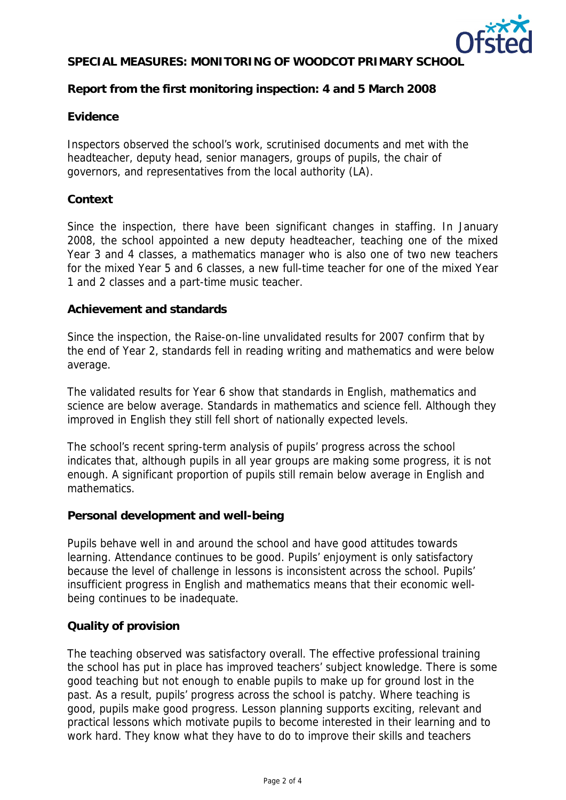

# **SPECIAL MEASURES: MONITORING OF WOODCOT PRIMARY SCHOOL**

## **Report from the first monitoring inspection: 4 and 5 March 2008**

### **Evidence**

Inspectors observed the school's work, scrutinised documents and met with the headteacher, deputy head, senior managers, groups of pupils, the chair of governors, and representatives from the local authority (LA).

### **Context**

Since the inspection, there have been significant changes in staffing. In January 2008, the school appointed a new deputy headteacher, teaching one of the mixed Year 3 and 4 classes, a mathematics manager who is also one of two new teachers for the mixed Year 5 and 6 classes, a new full-time teacher for one of the mixed Year 1 and 2 classes and a part-time music teacher.

### **Achievement and standards**

Since the inspection, the Raise-on-line unvalidated results for 2007 confirm that by the end of Year 2, standards fell in reading writing and mathematics and were below average.

The validated results for Year 6 show that standards in English, mathematics and science are below average. Standards in mathematics and science fell. Although they improved in English they still fell short of nationally expected levels.

The school's recent spring-term analysis of pupils' progress across the school indicates that, although pupils in all year groups are making some progress, it is not enough. A significant proportion of pupils still remain below average in English and mathematics.

#### **Personal development and well-being**

Pupils behave well in and around the school and have good attitudes towards learning. Attendance continues to be good. Pupils' enjoyment is only satisfactory because the level of challenge in lessons is inconsistent across the school. Pupils' insufficient progress in English and mathematics means that their economic wellbeing continues to be inadequate.

#### **Quality of provision**

The teaching observed was satisfactory overall. The effective professional training the school has put in place has improved teachers' subject knowledge. There is some good teaching but not enough to enable pupils to make up for ground lost in the past. As a result, pupils' progress across the school is patchy. Where teaching is good, pupils make good progress. Lesson planning supports exciting, relevant and practical lessons which motivate pupils to become interested in their learning and to work hard. They know what they have to do to improve their skills and teachers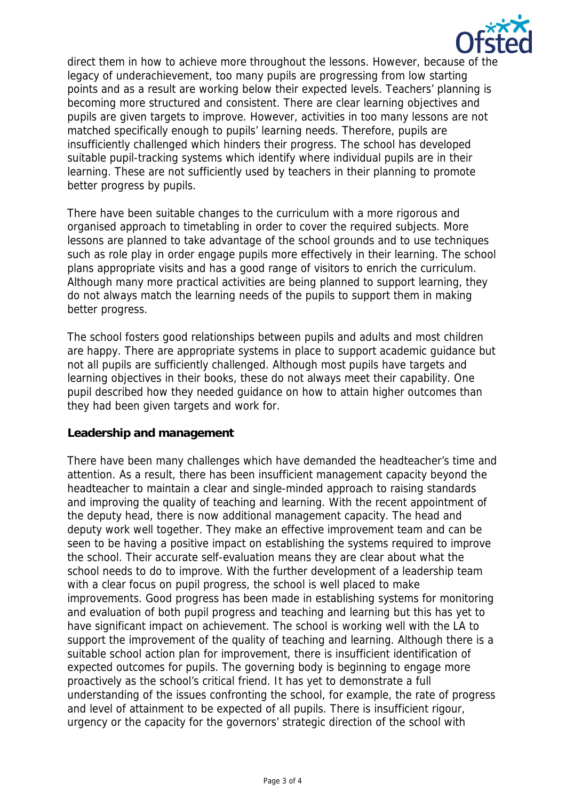

direct them in how to achieve more throughout the lessons. However, because of the legacy of underachievement, too many pupils are progressing from low starting points and as a result are working below their expected levels. Teachers' planning is becoming more structured and consistent. There are clear learning objectives and pupils are given targets to improve. However, activities in too many lessons are not matched specifically enough to pupils' learning needs. Therefore, pupils are insufficiently challenged which hinders their progress. The school has developed suitable pupil-tracking systems which identify where individual pupils are in their learning. These are not sufficiently used by teachers in their planning to promote better progress by pupils.

There have been suitable changes to the curriculum with a more rigorous and organised approach to timetabling in order to cover the required subjects. More lessons are planned to take advantage of the school grounds and to use techniques such as role play in order engage pupils more effectively in their learning. The school plans appropriate visits and has a good range of visitors to enrich the curriculum. Although many more practical activities are being planned to support learning, they do not always match the learning needs of the pupils to support them in making better progress.

The school fosters good relationships between pupils and adults and most children are happy. There are appropriate systems in place to support academic guidance but not all pupils are sufficiently challenged. Although most pupils have targets and learning objectives in their books, these do not always meet their capability. One pupil described how they needed guidance on how to attain higher outcomes than they had been given targets and work for.

## **Leadership and management**

There have been many challenges which have demanded the headteacher's time and attention. As a result, there has been insufficient management capacity beyond the headteacher to maintain a clear and single-minded approach to raising standards and improving the quality of teaching and learning. With the recent appointment of the deputy head, there is now additional management capacity. The head and deputy work well together. They make an effective improvement team and can be seen to be having a positive impact on establishing the systems required to improve the school. Their accurate self-evaluation means they are clear about what the school needs to do to improve. With the further development of a leadership team with a clear focus on pupil progress, the school is well placed to make improvements. Good progress has been made in establishing systems for monitoring and evaluation of both pupil progress and teaching and learning but this has yet to have significant impact on achievement. The school is working well with the LA to support the improvement of the quality of teaching and learning. Although there is a suitable school action plan for improvement, there is insufficient identification of expected outcomes for pupils. The governing body is beginning to engage more proactively as the school's critical friend. It has yet to demonstrate a full understanding of the issues confronting the school, for example, the rate of progress and level of attainment to be expected of all pupils. There is insufficient rigour, urgency or the capacity for the governors' strategic direction of the school with